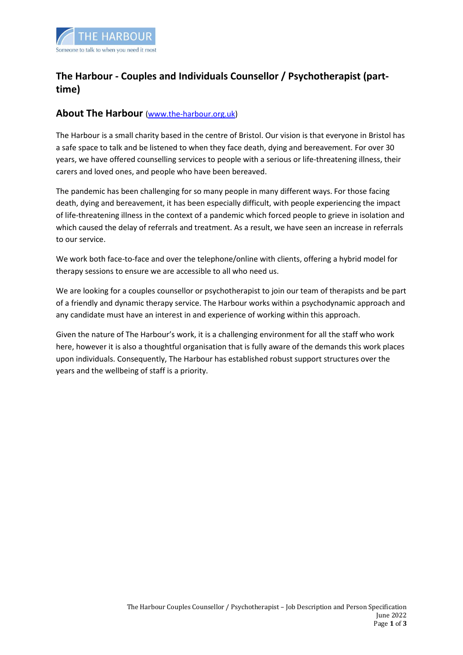

# **The Harbour - Couples and Individuals Counsellor / Psychotherapist (parttime)**

## **About The Harbour** [\(www.the-harbour.org.uk\)](http://www.the-harbour.org.uk/)

The Harbour is a small charity based in the centre of Bristol. Our vision is that everyone in Bristol has a safe space to talk and be listened to when they face death, dying and bereavement. For over 30 years, we have offered counselling services to people with a serious or life-threatening illness, their carers and loved ones, and people who have been bereaved.

The pandemic has been challenging for so many people in many different ways. For those facing death, dying and bereavement, it has been especially difficult, with people experiencing the impact of life-threatening illness in the context of a pandemic which forced people to grieve in isolation and which caused the delay of referrals and treatment. As a result, we have seen an increase in referrals to our service.

We work both face-to-face and over the telephone/online with clients, offering a hybrid model for therapy sessions to ensure we are accessible to all who need us.

We are looking for a couples counsellor or psychotherapist to join our team of therapists and be part of a friendly and dynamic therapy service. The Harbour works within a psychodynamic approach and any candidate must have an interest in and experience of working within this approach.

Given the nature of The Harbour's work, it is a challenging environment for all the staff who work here, however it is also a thoughtful organisation that is fully aware of the demands this work places upon individuals. Consequently, The Harbour has established robust support structures over the years and the wellbeing of staff is a priority.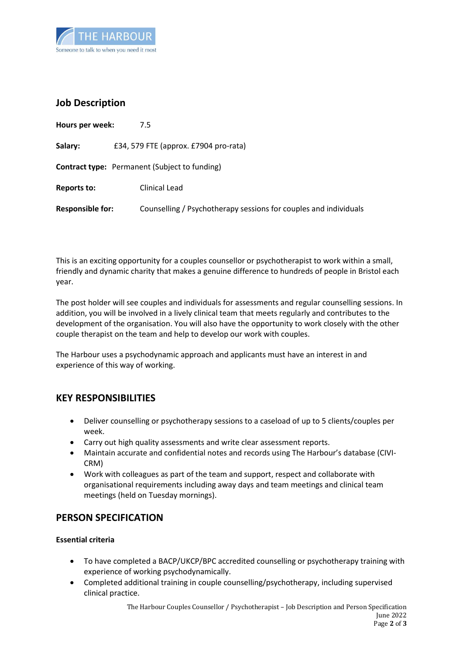

## **Job Description**

| Hours per week:         | 7.5                                                              |
|-------------------------|------------------------------------------------------------------|
| Salary:                 | £34, 579 FTE (approx. £7904 pro-rata)                            |
|                         | <b>Contract type:</b> Permanent (Subject to funding)             |
| <b>Reports to:</b>      | Clinical Lead                                                    |
| <b>Responsible for:</b> | Counselling / Psychotherapy sessions for couples and individuals |

This is an exciting opportunity for a couples counsellor or psychotherapist to work within a small, friendly and dynamic charity that makes a genuine difference to hundreds of people in Bristol each year.

The post holder will see couples and individuals for assessments and regular counselling sessions. In addition, you will be involved in a lively clinical team that meets regularly and contributes to the development of the organisation. You will also have the opportunity to work closely with the other couple therapist on the team and help to develop our work with couples.

The Harbour uses a psychodynamic approach and applicants must have an interest in and experience of this way of working.

## **KEY RESPONSIBILITIES**

- Deliver counselling or psychotherapy sessions to a caseload of up to 5 clients/couples per week.
- Carry out high quality assessments and write clear assessment reports.
- Maintain accurate and confidential notes and records using The Harbour's database (CIVI-CRM)
- Work with colleagues as part of the team and support, respect and collaborate with organisational requirements including away days and team meetings and clinical team meetings (held on Tuesday mornings).

## **PERSON SPECIFICATION**

### **Essential criteria**

- To have completed a BACP/UKCP/BPC accredited counselling or psychotherapy training with experience of working psychodynamically.
- Completed additional training in couple counselling/psychotherapy, including supervised clinical practice.